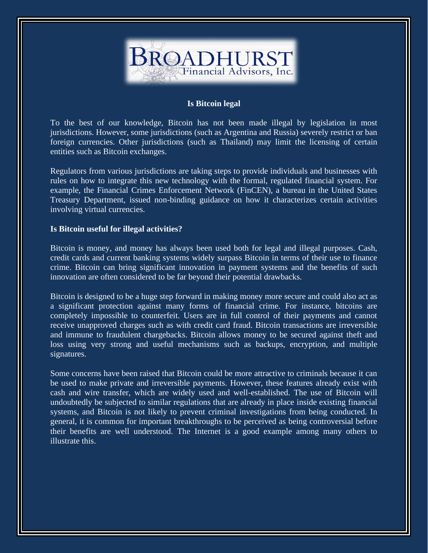

#### **Is Bitcoin legal**

To the best of our knowledge, Bitcoin has not been made illegal by legislation in most jurisdictions. However, some jurisdictions (such as Argentina and Russia) severely restrict or ban foreign currencies. Other jurisdictions (such as Thailand) may limit the licensing of certain entities such as Bitcoin exchanges.

Regulators from various jurisdictions are taking steps to provide individuals and businesses with rules on how to integrate this new technology with the formal, regulated financial system. For example, the Financial Crimes Enforcement Network (FinCEN), a bureau in the United States Treasury Department, issued non-binding guidance on how it characterizes certain activities involving virtual currencies.

#### **Is Bitcoin useful for illegal activities?**

Bitcoin is money, and money has always been used both for legal and illegal purposes. Cash, credit cards and current banking systems widely surpass Bitcoin in terms of their use to finance crime. Bitcoin can bring significant innovation in payment systems and the benefits of such innovation are often considered to be far beyond their potential drawbacks.

Bitcoin is designed to be a huge step forward in making money more secure and could also act as a significant protection against many forms of financial crime. For instance, bitcoins are completely impossible to counterfeit. Users are in full control of their payments and cannot receive unapproved charges such as with credit card fraud. Bitcoin transactions are irreversible and immune to fraudulent chargebacks. Bitcoin allows money to be secured against theft and loss using very strong and useful mechanisms such as backups, encryption, and multiple signatures.

Some concerns have been raised that Bitcoin could be more attractive to criminals because it can be used to make private and irreversible payments. However, these features already exist with cash and wire transfer, which are widely used and well-established. The use of Bitcoin will undoubtedly be subjected to similar regulations that are already in place inside existing financial systems, and Bitcoin is not likely to prevent criminal investigations from being conducted. In general, it is common for important breakthroughs to be perceived as being controversial before their benefits are well understood. The Internet is a good example among many others to illustrate this.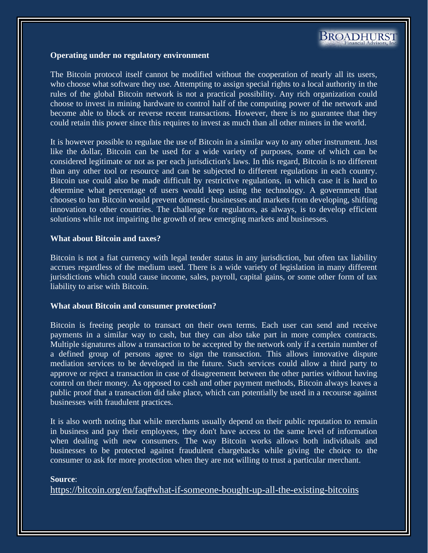# **Operating under no regulatory environment**

The Bitcoin protocol itself cannot be modified without the cooperation of nearly all its users, who choose what software they use. Attempting to assign special rights to a local authority in the rules of the global Bitcoin network is not a practical possibility. Any rich organization could choose to invest in mining hardware to control half of the computing power of the network and become able to block or reverse recent transactions. However, there is no guarantee that they could retain this power since this requires to invest as much than all other miners in the world.

It is however possible to regulate the use of Bitcoin in a similar way to any other instrument. Just like the dollar, Bitcoin can be used for a wide variety of purposes, some of which can be considered legitimate or not as per each jurisdiction's laws. In this regard, Bitcoin is no different than any other tool or resource and can be subjected to different regulations in each country. Bitcoin use could also be made difficult by restrictive regulations, in which case it is hard to determine what percentage of users would keep using the technology. A government that chooses to ban Bitcoin would prevent domestic businesses and markets from developing, shifting innovation to other countries. The challenge for regulators, as always, is to develop efficient solutions while not impairing the growth of new emerging markets and businesses.

# **What about Bitcoin and taxes?**

Bitcoin is not a fiat currency with legal tender status in any jurisdiction, but often tax liability accrues regardless of the medium used. There is a wide variety of legislation in many different jurisdictions which could cause income, sales, payroll, capital gains, or some other form of tax liability to arise with Bitcoin.

# **What about Bitcoin and consumer protection?**

Bitcoin is freeing people to transact on their own terms. Each user can send and receive payments in a similar way to cash, but they can also take part in more complex contracts. Multiple signatures allow a transaction to be accepted by the network only if a certain number of a defined group of persons agree to sign the transaction. This allows innovative dispute mediation services to be developed in the future. Such services could allow a third party to approve or reject a transaction in case of disagreement between the other parties without having control on their money. As opposed to cash and other payment methods, Bitcoin always leaves a public proof that a transaction did take place, which can potentially be used in a recourse against businesses with fraudulent practices.

It is also worth noting that while merchants usually depend on their public reputation to remain in business and pay their employees, they don't have access to the same level of information when dealing with new consumers. The way Bitcoin works allows both individuals and businesses to be protected against fraudulent chargebacks while giving the choice to the consumer to ask for more protection when they are not willing to trust a particular merchant.

# **Source**:

<https://bitcoin.org/en/faq#what-if-someone-bought-up-all-the-existing-bitcoins>